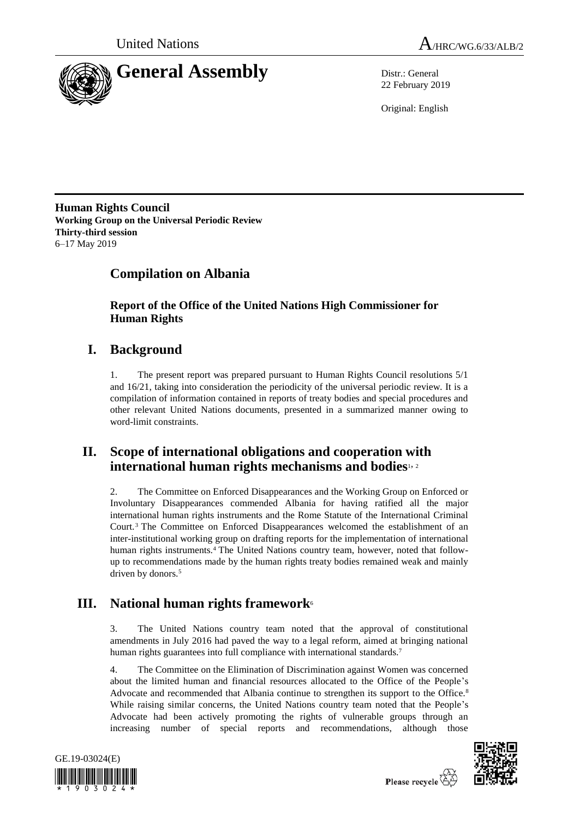



22 February 2019

Original: English

**Human Rights Council Working Group on the Universal Periodic Review Thirty-third session** 6–17 May 2019

# **Compilation on Albania**

**Report of the Office of the United Nations High Commissioner for Human Rights**

## **I. Background**

1. The present report was prepared pursuant to Human Rights Council resolutions 5/1 and 16/21, taking into consideration the periodicity of the universal periodic review. It is a compilation of information contained in reports of treaty bodies and special procedures and other relevant United Nations documents, presented in a summarized manner owing to word-limit constraints.

## **II. Scope of international obligations and cooperation with international human rights mechanisms and bodies**1, <sup>2</sup>

2. The Committee on Enforced Disappearances and the Working Group on Enforced or Involuntary Disappearances commended Albania for having ratified all the major international human rights instruments and the Rome Statute of the International Criminal Court.<sup>3</sup> The Committee on Enforced Disappearances welcomed the establishment of an inter-institutional working group on drafting reports for the implementation of international human rights instruments.<sup>4</sup> The United Nations country team, however, noted that followup to recommendations made by the human rights treaty bodies remained weak and mainly driven by donors.<sup>5</sup>

# **III. National human rights framework**<sup>6</sup>

3. The United Nations country team noted that the approval of constitutional amendments in July 2016 had paved the way to a legal reform, aimed at bringing national human rights guarantees into full compliance with international standards.<sup>7</sup>

4. The Committee on the Elimination of Discrimination against Women was concerned about the limited human and financial resources allocated to the Office of the People's Advocate and recommended that Albania continue to strengthen its support to the Office.<sup>8</sup> While raising similar concerns, the United Nations country team noted that the People's Advocate had been actively promoting the rights of vulnerable groups through an increasing number of special reports and recommendations, although those



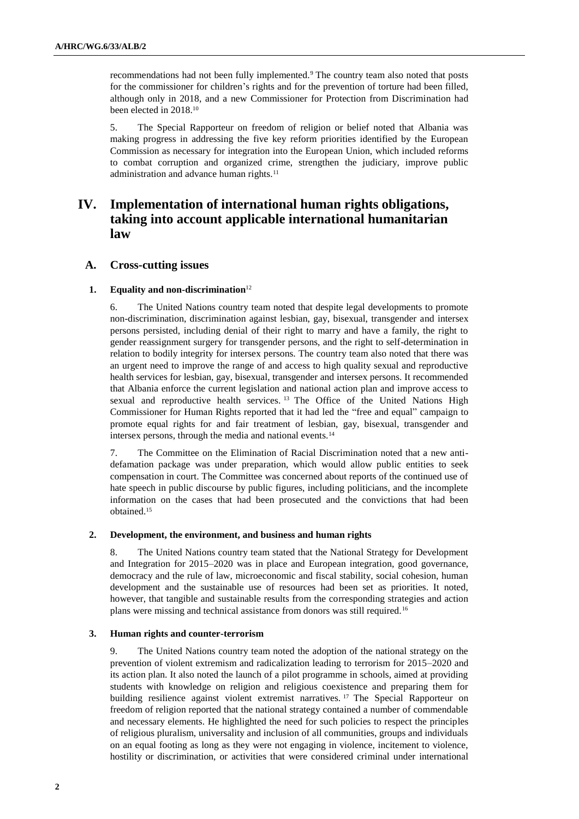recommendations had not been fully implemented.<sup>9</sup> The country team also noted that posts for the commissioner for children's rights and for the prevention of torture had been filled, although only in 2018, and a new Commissioner for Protection from Discrimination had been elected in 2018.<sup>10</sup>

5. The Special Rapporteur on freedom of religion or belief noted that Albania was making progress in addressing the five key reform priorities identified by the European Commission as necessary for integration into the European Union, which included reforms to combat corruption and organized crime, strengthen the judiciary, improve public administration and advance human rights.<sup>11</sup>

## **IV. Implementation of international human rights obligations, taking into account applicable international humanitarian law**

## **A. Cross-cutting issues**

## **1. Equality and non-discrimination**<sup>12</sup>

6. The United Nations country team noted that despite legal developments to promote non-discrimination, discrimination against lesbian, gay, bisexual, transgender and intersex persons persisted, including denial of their right to marry and have a family, the right to gender reassignment surgery for transgender persons, and the right to self-determination in relation to bodily integrity for intersex persons. The country team also noted that there was an urgent need to improve the range of and access to high quality sexual and reproductive health services for lesbian, gay, bisexual, transgender and intersex persons. It recommended that Albania enforce the current legislation and national action plan and improve access to sexual and reproductive health services. <sup>13</sup> The Office of the United Nations High Commissioner for Human Rights reported that it had led the "free and equal" campaign to promote equal rights for and fair treatment of lesbian, gay, bisexual, transgender and intersex persons, through the media and national events.<sup>14</sup>

7. The Committee on the Elimination of Racial Discrimination noted that a new antidefamation package was under preparation, which would allow public entities to seek compensation in court. The Committee was concerned about reports of the continued use of hate speech in public discourse by public figures, including politicians, and the incomplete information on the cases that had been prosecuted and the convictions that had been obtained.<sup>15</sup>

## **2. Development, the environment, and business and human rights**

8. The United Nations country team stated that the National Strategy for Development and Integration for 2015–2020 was in place and European integration, good governance, democracy and the rule of law, microeconomic and fiscal stability, social cohesion, human development and the sustainable use of resources had been set as priorities. It noted, however, that tangible and sustainable results from the corresponding strategies and action plans were missing and technical assistance from donors was still required.<sup>16</sup>

## **3. Human rights and counter-terrorism**

9. The United Nations country team noted the adoption of the national strategy on the prevention of violent extremism and radicalization leading to terrorism for 2015–2020 and its action plan. It also noted the launch of a pilot programme in schools, aimed at providing students with knowledge on religion and religious coexistence and preparing them for building resilience against violent extremist narratives. <sup>17</sup> The Special Rapporteur on freedom of religion reported that the national strategy contained a number of commendable and necessary elements. He highlighted the need for such policies to respect the principles of religious pluralism, universality and inclusion of all communities, groups and individuals on an equal footing as long as they were not engaging in violence, incitement to violence, hostility or discrimination, or activities that were considered criminal under international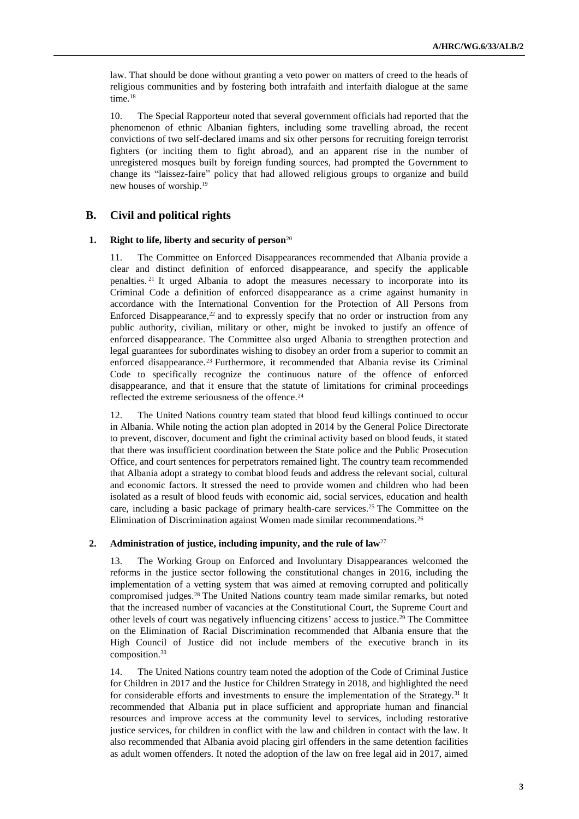law. That should be done without granting a veto power on matters of creed to the heads of religious communities and by fostering both intrafaith and interfaith dialogue at the same time.<sup>18</sup>

10. The Special Rapporteur noted that several government officials had reported that the phenomenon of ethnic Albanian fighters, including some travelling abroad, the recent convictions of two self-declared imams and six other persons for recruiting foreign terrorist fighters (or inciting them to fight abroad), and an apparent rise in the number of unregistered mosques built by foreign funding sources, had prompted the Government to change its "laissez-faire" policy that had allowed religious groups to organize and build new houses of worship.<sup>19</sup>

## **B. Civil and political rights**

#### **1. Right to life, liberty and security of person**<sup>20</sup>

11. The Committee on Enforced Disappearances recommended that Albania provide a clear and distinct definition of enforced disappearance, and specify the applicable penalties. <sup>21</sup> It urged Albania to adopt the measures necessary to incorporate into its Criminal Code a definition of enforced disappearance as a crime against humanity in accordance with the International Convention for the Protection of All Persons from Enforced Disappearance, $2<sup>2</sup>$  and to expressly specify that no order or instruction from any public authority, civilian, military or other, might be invoked to justify an offence of enforced disappearance. The Committee also urged Albania to strengthen protection and legal guarantees for subordinates wishing to disobey an order from a superior to commit an enforced disappearance.<sup>23</sup> Furthermore, it recommended that Albania revise its Criminal Code to specifically recognize the continuous nature of the offence of enforced disappearance, and that it ensure that the statute of limitations for criminal proceedings reflected the extreme seriousness of the offence.<sup>24</sup>

12. The United Nations country team stated that blood feud killings continued to occur in Albania. While noting the action plan adopted in 2014 by the General Police Directorate to prevent, discover, document and fight the criminal activity based on blood feuds, it stated that there was insufficient coordination between the State police and the Public Prosecution Office, and court sentences for perpetrators remained light. The country team recommended that Albania adopt a strategy to combat blood feuds and address the relevant social, cultural and economic factors. It stressed the need to provide women and children who had been isolated as a result of blood feuds with economic aid, social services, education and health care, including a basic package of primary health-care services.<sup>25</sup> The Committee on the Elimination of Discrimination against Women made similar recommendations.<sup>26</sup>

#### **2. Administration of justice, including impunity, and the rule of law**<sup>27</sup>

13. The Working Group on Enforced and Involuntary Disappearances welcomed the reforms in the justice sector following the constitutional changes in 2016, including the implementation of a vetting system that was aimed at removing corrupted and politically compromised judges.<sup>28</sup> The United Nations country team made similar remarks, but noted that the increased number of vacancies at the Constitutional Court, the Supreme Court and other levels of court was negatively influencing citizens' access to justice.<sup>29</sup> The Committee on the Elimination of Racial Discrimination recommended that Albania ensure that the High Council of Justice did not include members of the executive branch in its composition.<sup>30</sup>

14. The United Nations country team noted the adoption of the Code of Criminal Justice for Children in 2017 and the Justice for Children Strategy in 2018, and highlighted the need for considerable efforts and investments to ensure the implementation of the Strategy.<sup>31</sup> It recommended that Albania put in place sufficient and appropriate human and financial resources and improve access at the community level to services, including restorative justice services, for children in conflict with the law and children in contact with the law. It also recommended that Albania avoid placing girl offenders in the same detention facilities as adult women offenders. It noted the adoption of the law on free legal aid in 2017, aimed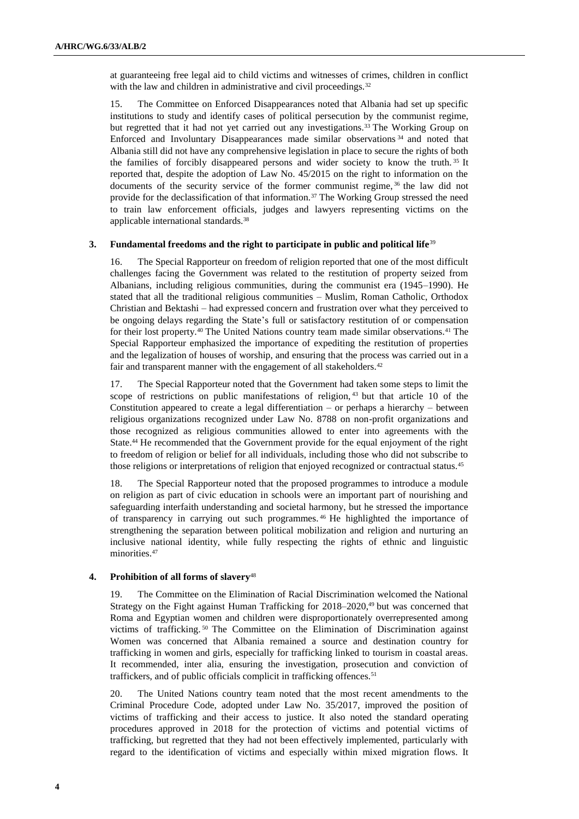at guaranteeing free legal aid to child victims and witnesses of crimes, children in conflict with the law and children in administrative and civil proceedings.<sup>32</sup>

15. The Committee on Enforced Disappearances noted that Albania had set up specific institutions to study and identify cases of political persecution by the communist regime, but regretted that it had not yet carried out any investigations.<sup>33</sup> The Working Group on Enforced and Involuntary Disappearances made similar observations <sup>34</sup> and noted that Albania still did not have any comprehensive legislation in place to secure the rights of both the families of forcibly disappeared persons and wider society to know the truth. <sup>35</sup> It reported that, despite the adoption of Law No. 45/2015 on the right to information on the documents of the security service of the former communist regime,<sup>36</sup> the law did not provide for the declassification of that information.<sup>37</sup> The Working Group stressed the need to train law enforcement officials, judges and lawyers representing victims on the applicable international standards.<sup>38</sup>

## **3. Fundamental freedoms and the right to participate in public and political life**<sup>39</sup>

16. The Special Rapporteur on freedom of religion reported that one of the most difficult challenges facing the Government was related to the restitution of property seized from Albanians, including religious communities, during the communist era (1945–1990). He stated that all the traditional religious communities – Muslim, Roman Catholic, Orthodox Christian and Bektashi – had expressed concern and frustration over what they perceived to be ongoing delays regarding the State's full or satisfactory restitution of or compensation for their lost property.<sup>40</sup> The United Nations country team made similar observations.<sup>41</sup> The Special Rapporteur emphasized the importance of expediting the restitution of properties and the legalization of houses of worship, and ensuring that the process was carried out in a fair and transparent manner with the engagement of all stakeholders.<sup>42</sup>

17. The Special Rapporteur noted that the Government had taken some steps to limit the scope of restrictions on public manifestations of religion,  $43$  but that article 10 of the Constitution appeared to create a legal differentiation – or perhaps a hierarchy – between religious organizations recognized under Law No. 8788 on non-profit organizations and those recognized as religious communities allowed to enter into agreements with the State.<sup>44</sup> He recommended that the Government provide for the equal enjoyment of the right to freedom of religion or belief for all individuals, including those who did not subscribe to those religions or interpretations of religion that enjoyed recognized or contractual status.<sup>45</sup>

18. The Special Rapporteur noted that the proposed programmes to introduce a module on religion as part of civic education in schools were an important part of nourishing and safeguarding interfaith understanding and societal harmony, but he stressed the importance of transparency in carrying out such programmes. <sup>46</sup> He highlighted the importance of strengthening the separation between political mobilization and religion and nurturing an inclusive national identity, while fully respecting the rights of ethnic and linguistic minorities.<sup>47</sup>

## **4. Prohibition of all forms of slavery**<sup>48</sup>

19. The Committee on the Elimination of Racial Discrimination welcomed the National Strategy on the Fight against Human Trafficking for 2018–2020,<sup>49</sup> but was concerned that Roma and Egyptian women and children were disproportionately overrepresented among victims of trafficking. <sup>50</sup> The Committee on the Elimination of Discrimination against Women was concerned that Albania remained a source and destination country for trafficking in women and girls, especially for trafficking linked to tourism in coastal areas. It recommended, inter alia, ensuring the investigation, prosecution and conviction of traffickers, and of public officials complicit in trafficking offences.<sup>51</sup>

20. The United Nations country team noted that the most recent amendments to the Criminal Procedure Code, adopted under Law No. 35/2017, improved the position of victims of trafficking and their access to justice. It also noted the standard operating procedures approved in 2018 for the protection of victims and potential victims of trafficking, but regretted that they had not been effectively implemented, particularly with regard to the identification of victims and especially within mixed migration flows. It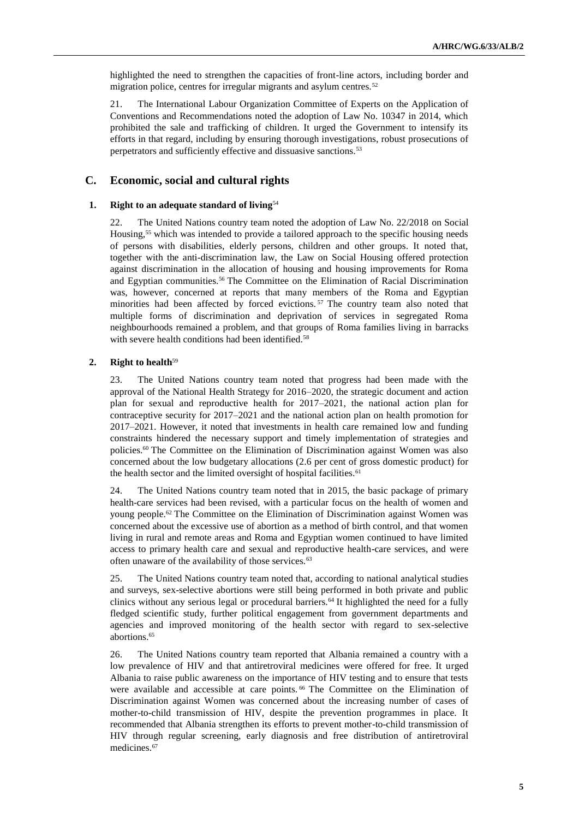highlighted the need to strengthen the capacities of front-line actors, including border and migration police, centres for irregular migrants and asylum centres.<sup>52</sup>

21. The International Labour Organization Committee of Experts on the Application of Conventions and Recommendations noted the adoption of Law No. 10347 in 2014, which prohibited the sale and trafficking of children. It urged the Government to intensify its efforts in that regard, including by ensuring thorough investigations, robust prosecutions of perpetrators and sufficiently effective and dissuasive sanctions.<sup>53</sup>

## **C. Economic, social and cultural rights**

#### **1. Right to an adequate standard of living**<sup>54</sup>

22. The United Nations country team noted the adoption of Law No. 22/2018 on Social Housing,<sup>55</sup> which was intended to provide a tailored approach to the specific housing needs of persons with disabilities, elderly persons, children and other groups. It noted that, together with the anti-discrimination law, the Law on Social Housing offered protection against discrimination in the allocation of housing and housing improvements for Roma and Egyptian communities.<sup>56</sup> The Committee on the Elimination of Racial Discrimination was, however, concerned at reports that many members of the Roma and Egyptian minorities had been affected by forced evictions.<sup>57</sup> The country team also noted that multiple forms of discrimination and deprivation of services in segregated Roma neighbourhoods remained a problem, and that groups of Roma families living in barracks with severe health conditions had been identified.<sup>58</sup>

## **2. Right to health**<sup>59</sup>

23. The United Nations country team noted that progress had been made with the approval of the National Health Strategy for 2016–2020, the strategic document and action plan for sexual and reproductive health for 2017–2021, the national action plan for contraceptive security for 2017–2021 and the national action plan on health promotion for 2017–2021. However, it noted that investments in health care remained low and funding constraints hindered the necessary support and timely implementation of strategies and policies.<sup>60</sup> The Committee on the Elimination of Discrimination against Women was also concerned about the low budgetary allocations (2.6 per cent of gross domestic product) for the health sector and the limited oversight of hospital facilities.<sup>61</sup>

24. The United Nations country team noted that in 2015, the basic package of primary health-care services had been revised, with a particular focus on the health of women and young people.<sup>62</sup> The Committee on the Elimination of Discrimination against Women was concerned about the excessive use of abortion as a method of birth control, and that women living in rural and remote areas and Roma and Egyptian women continued to have limited access to primary health care and sexual and reproductive health-care services, and were often unaware of the availability of those services.<sup>63</sup>

25. The United Nations country team noted that, according to national analytical studies and surveys, sex-selective abortions were still being performed in both private and public clinics without any serious legal or procedural barriers.<sup>64</sup> It highlighted the need for a fully fledged scientific study, further political engagement from government departments and agencies and improved monitoring of the health sector with regard to sex-selective abortions.<sup>65</sup>

26. The United Nations country team reported that Albania remained a country with a low prevalence of HIV and that antiretroviral medicines were offered for free. It urged Albania to raise public awareness on the importance of HIV testing and to ensure that tests were available and accessible at care points.<sup>66</sup> The Committee on the Elimination of Discrimination against Women was concerned about the increasing number of cases of mother-to-child transmission of HIV, despite the prevention programmes in place. It recommended that Albania strengthen its efforts to prevent mother-to-child transmission of HIV through regular screening, early diagnosis and free distribution of antiretroviral medicines.<sup>67</sup>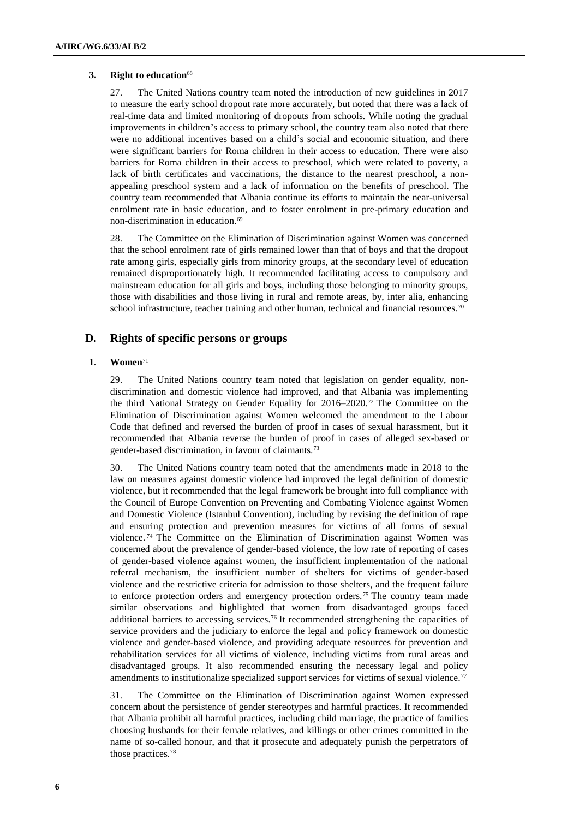## **3. Right to education**<sup>68</sup>

27. The United Nations country team noted the introduction of new guidelines in 2017 to measure the early school dropout rate more accurately, but noted that there was a lack of real-time data and limited monitoring of dropouts from schools. While noting the gradual improvements in children's access to primary school, the country team also noted that there were no additional incentives based on a child's social and economic situation, and there were significant barriers for Roma children in their access to education. There were also barriers for Roma children in their access to preschool, which were related to poverty, a lack of birth certificates and vaccinations, the distance to the nearest preschool, a nonappealing preschool system and a lack of information on the benefits of preschool. The country team recommended that Albania continue its efforts to maintain the near-universal enrolment rate in basic education, and to foster enrolment in pre-primary education and non-discrimination in education.<sup>69</sup>

28. The Committee on the Elimination of Discrimination against Women was concerned that the school enrolment rate of girls remained lower than that of boys and that the dropout rate among girls, especially girls from minority groups, at the secondary level of education remained disproportionately high. It recommended facilitating access to compulsory and mainstream education for all girls and boys, including those belonging to minority groups, those with disabilities and those living in rural and remote areas, by, inter alia, enhancing school infrastructure, teacher training and other human, technical and financial resources.<sup>70</sup>

## **D. Rights of specific persons or groups**

## **1. Women**<sup>71</sup>

29. The United Nations country team noted that legislation on gender equality, nondiscrimination and domestic violence had improved, and that Albania was implementing the third National Strategy on Gender Equality for 2016–2020.<sup>72</sup> The Committee on the Elimination of Discrimination against Women welcomed the amendment to the Labour Code that defined and reversed the burden of proof in cases of sexual harassment, but it recommended that Albania reverse the burden of proof in cases of alleged sex-based or gender-based discrimination, in favour of claimants.<sup>73</sup>

30. The United Nations country team noted that the amendments made in 2018 to the law on measures against domestic violence had improved the legal definition of domestic violence, but it recommended that the legal framework be brought into full compliance with the Council of Europe Convention on Preventing and Combating Violence against Women and Domestic Violence (Istanbul Convention), including by revising the definition of rape and ensuring protection and prevention measures for victims of all forms of sexual violence. <sup>74</sup> The Committee on the Elimination of Discrimination against Women was concerned about the prevalence of gender-based violence, the low rate of reporting of cases of gender-based violence against women, the insufficient implementation of the national referral mechanism, the insufficient number of shelters for victims of gender-based violence and the restrictive criteria for admission to those shelters, and the frequent failure to enforce protection orders and emergency protection orders.<sup>75</sup> The country team made similar observations and highlighted that women from disadvantaged groups faced additional barriers to accessing services.<sup>76</sup> It recommended strengthening the capacities of service providers and the judiciary to enforce the legal and policy framework on domestic violence and gender-based violence, and providing adequate resources for prevention and rehabilitation services for all victims of violence, including victims from rural areas and disadvantaged groups. It also recommended ensuring the necessary legal and policy amendments to institutionalize specialized support services for victims of sexual violence.<sup>77</sup>

31. The Committee on the Elimination of Discrimination against Women expressed concern about the persistence of gender stereotypes and harmful practices. It recommended that Albania prohibit all harmful practices, including child marriage, the practice of families choosing husbands for their female relatives, and killings or other crimes committed in the name of so-called honour, and that it prosecute and adequately punish the perpetrators of those practices.78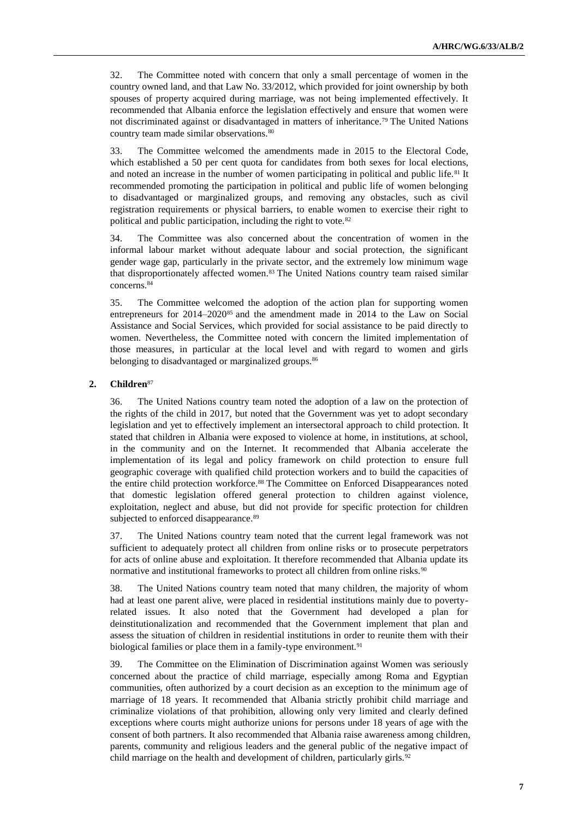32. The Committee noted with concern that only a small percentage of women in the country owned land, and that Law No. 33/2012, which provided for joint ownership by both spouses of property acquired during marriage, was not being implemented effectively. It recommended that Albania enforce the legislation effectively and ensure that women were not discriminated against or disadvantaged in matters of inheritance.<sup>79</sup> The United Nations country team made similar observations.<sup>80</sup>

33. The Committee welcomed the amendments made in 2015 to the Electoral Code, which established a 50 per cent quota for candidates from both sexes for local elections, and noted an increase in the number of women participating in political and public life.<sup>81</sup> It recommended promoting the participation in political and public life of women belonging to disadvantaged or marginalized groups, and removing any obstacles, such as civil registration requirements or physical barriers, to enable women to exercise their right to political and public participation, including the right to vote.<sup>82</sup>

34. The Committee was also concerned about the concentration of women in the informal labour market without adequate labour and social protection, the significant gender wage gap, particularly in the private sector, and the extremely low minimum wage that disproportionately affected women.<sup>83</sup> The United Nations country team raised similar concerns.<sup>84</sup>

35. The Committee welcomed the adoption of the action plan for supporting women entrepreneurs for 2014–2020<sup>85</sup> and the amendment made in 2014 to the Law on Social Assistance and Social Services, which provided for social assistance to be paid directly to women. Nevertheless, the Committee noted with concern the limited implementation of those measures, in particular at the local level and with regard to women and girls belonging to disadvantaged or marginalized groups.<sup>86</sup>

## **2. Children**<sup>87</sup>

36. The United Nations country team noted the adoption of a law on the protection of the rights of the child in 2017, but noted that the Government was yet to adopt secondary legislation and yet to effectively implement an intersectoral approach to child protection. It stated that children in Albania were exposed to violence at home, in institutions, at school, in the community and on the Internet. It recommended that Albania accelerate the implementation of its legal and policy framework on child protection to ensure full geographic coverage with qualified child protection workers and to build the capacities of the entire child protection workforce.<sup>88</sup> The Committee on Enforced Disappearances noted that domestic legislation offered general protection to children against violence, exploitation, neglect and abuse, but did not provide for specific protection for children subjected to enforced disappearance.<sup>89</sup>

37. The United Nations country team noted that the current legal framework was not sufficient to adequately protect all children from online risks or to prosecute perpetrators for acts of online abuse and exploitation. It therefore recommended that Albania update its normative and institutional frameworks to protect all children from online risks.<sup>90</sup>

38. The United Nations country team noted that many children, the majority of whom had at least one parent alive, were placed in residential institutions mainly due to povertyrelated issues. It also noted that the Government had developed a plan for deinstitutionalization and recommended that the Government implement that plan and assess the situation of children in residential institutions in order to reunite them with their biological families or place them in a family-type environment.<sup>91</sup>

39. The Committee on the Elimination of Discrimination against Women was seriously concerned about the practice of child marriage, especially among Roma and Egyptian communities, often authorized by a court decision as an exception to the minimum age of marriage of 18 years. It recommended that Albania strictly prohibit child marriage and criminalize violations of that prohibition, allowing only very limited and clearly defined exceptions where courts might authorize unions for persons under 18 years of age with the consent of both partners. It also recommended that Albania raise awareness among children, parents, community and religious leaders and the general public of the negative impact of child marriage on the health and development of children, particularly girls.<sup>92</sup>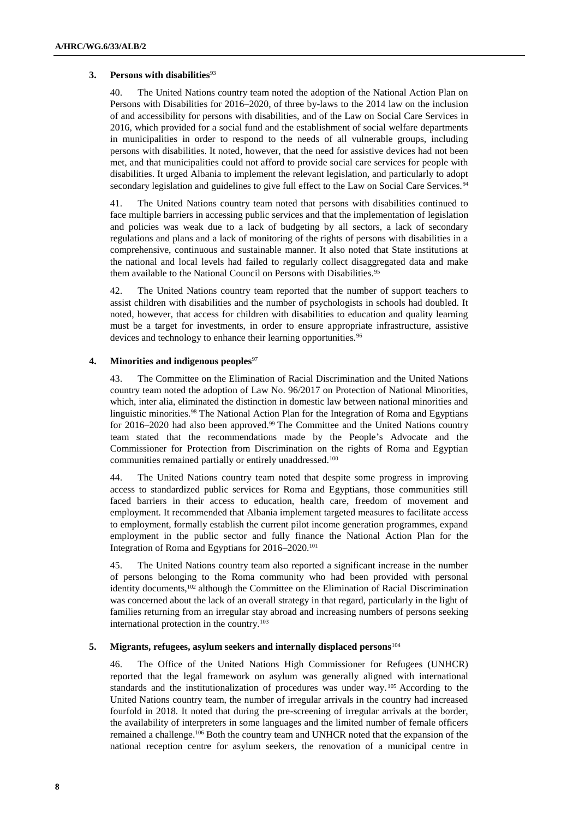## **3. Persons with disabilities**<sup>93</sup>

40. The United Nations country team noted the adoption of the National Action Plan on Persons with Disabilities for 2016–2020, of three by-laws to the 2014 law on the inclusion of and accessibility for persons with disabilities, and of the Law on Social Care Services in 2016, which provided for a social fund and the establishment of social welfare departments in municipalities in order to respond to the needs of all vulnerable groups, including persons with disabilities. It noted, however, that the need for assistive devices had not been met, and that municipalities could not afford to provide social care services for people with disabilities. It urged Albania to implement the relevant legislation, and particularly to adopt secondary legislation and guidelines to give full effect to the Law on Social Care Services.<sup>94</sup>

41. The United Nations country team noted that persons with disabilities continued to face multiple barriers in accessing public services and that the implementation of legislation and policies was weak due to a lack of budgeting by all sectors, a lack of secondary regulations and plans and a lack of monitoring of the rights of persons with disabilities in a comprehensive, continuous and sustainable manner. It also noted that State institutions at the national and local levels had failed to regularly collect disaggregated data and make them available to the National Council on Persons with Disabilities.<sup>95</sup>

42. The United Nations country team reported that the number of support teachers to assist children with disabilities and the number of psychologists in schools had doubled. It noted, however, that access for children with disabilities to education and quality learning must be a target for investments, in order to ensure appropriate infrastructure, assistive devices and technology to enhance their learning opportunities.<sup>96</sup>

## **4. Minorities and indigenous peoples**<sup>97</sup>

43. The Committee on the Elimination of Racial Discrimination and the United Nations country team noted the adoption of Law No. 96/2017 on Protection of National Minorities, which, inter alia, eliminated the distinction in domestic law between national minorities and linguistic minorities.<sup>98</sup> The National Action Plan for the Integration of Roma and Egyptians for 2016–2020 had also been approved.<sup>99</sup> The Committee and the United Nations country team stated that the recommendations made by the People's Advocate and the Commissioner for Protection from Discrimination on the rights of Roma and Egyptian communities remained partially or entirely unaddressed.<sup>100</sup>

44. The United Nations country team noted that despite some progress in improving access to standardized public services for Roma and Egyptians, those communities still faced barriers in their access to education, health care, freedom of movement and employment. It recommended that Albania implement targeted measures to facilitate access to employment, formally establish the current pilot income generation programmes, expand employment in the public sector and fully finance the National Action Plan for the Integration of Roma and Egyptians for 2016–2020.<sup>101</sup>

45. The United Nations country team also reported a significant increase in the number of persons belonging to the Roma community who had been provided with personal identity documents,<sup>102</sup> although the Committee on the Elimination of Racial Discrimination was concerned about the lack of an overall strategy in that regard, particularly in the light of families returning from an irregular stay abroad and increasing numbers of persons seeking international protection in the country.<sup>103</sup>

## **5. Migrants, refugees, asylum seekers and internally displaced persons**<sup>104</sup>

46. The Office of the United Nations High Commissioner for Refugees (UNHCR) reported that the legal framework on asylum was generally aligned with international standards and the institutionalization of procedures was under way. <sup>105</sup> According to the United Nations country team, the number of irregular arrivals in the country had increased fourfold in 2018. It noted that during the pre-screening of irregular arrivals at the border, the availability of interpreters in some languages and the limited number of female officers remained a challenge.<sup>106</sup> Both the country team and UNHCR noted that the expansion of the national reception centre for asylum seekers, the renovation of a municipal centre in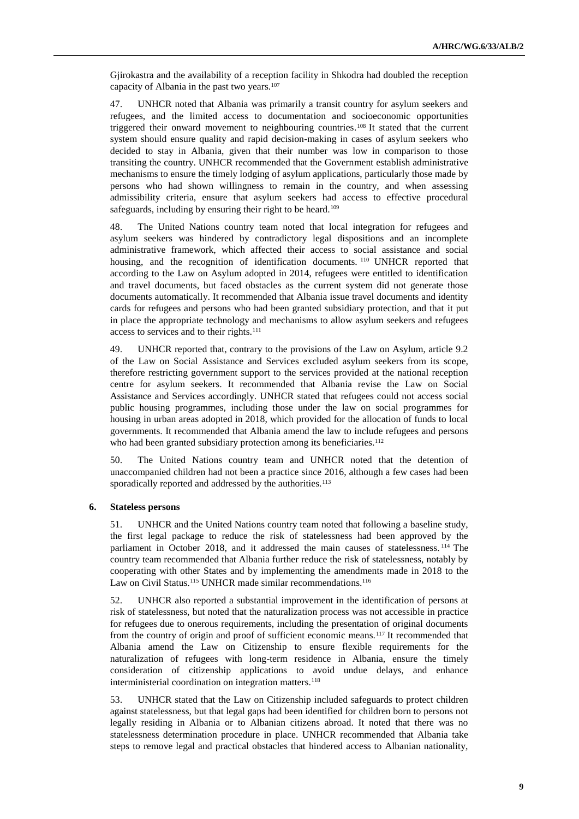Gjirokastra and the availability of a reception facility in Shkodra had doubled the reception capacity of Albania in the past two years.<sup>107</sup>

47. UNHCR noted that Albania was primarily a transit country for asylum seekers and refugees, and the limited access to documentation and socioeconomic opportunities triggered their onward movement to neighbouring countries. <sup>108</sup> It stated that the current system should ensure quality and rapid decision-making in cases of asylum seekers who decided to stay in Albania, given that their number was low in comparison to those transiting the country. UNHCR recommended that the Government establish administrative mechanisms to ensure the timely lodging of asylum applications, particularly those made by persons who had shown willingness to remain in the country, and when assessing admissibility criteria, ensure that asylum seekers had access to effective procedural safeguards, including by ensuring their right to be heard.<sup>109</sup>

48. The United Nations country team noted that local integration for refugees and asylum seekers was hindered by contradictory legal dispositions and an incomplete administrative framework, which affected their access to social assistance and social housing, and the recognition of identification documents.<sup>110</sup> UNHCR reported that according to the Law on Asylum adopted in 2014, refugees were entitled to identification and travel documents, but faced obstacles as the current system did not generate those documents automatically. It recommended that Albania issue travel documents and identity cards for refugees and persons who had been granted subsidiary protection, and that it put in place the appropriate technology and mechanisms to allow asylum seekers and refugees access to services and to their rights.<sup>111</sup>

49. UNHCR reported that, contrary to the provisions of the Law on Asylum, article 9.2 of the Law on Social Assistance and Services excluded asylum seekers from its scope, therefore restricting government support to the services provided at the national reception centre for asylum seekers. It recommended that Albania revise the Law on Social Assistance and Services accordingly. UNHCR stated that refugees could not access social public housing programmes, including those under the law on social programmes for housing in urban areas adopted in 2018, which provided for the allocation of funds to local governments. It recommended that Albania amend the law to include refugees and persons who had been granted subsidiary protection among its beneficiaries.<sup>112</sup>

50. The United Nations country team and UNHCR noted that the detention of unaccompanied children had not been a practice since 2016, although a few cases had been sporadically reported and addressed by the authorities.<sup>113</sup>

## **6. Stateless persons**

51. UNHCR and the United Nations country team noted that following a baseline study, the first legal package to reduce the risk of statelessness had been approved by the parliament in October 2018, and it addressed the main causes of statelessness. <sup>114</sup> The country team recommended that Albania further reduce the risk of statelessness, notably by cooperating with other States and by implementing the amendments made in 2018 to the Law on Civil Status.<sup>115</sup> UNHCR made similar recommendations.<sup>116</sup>

52. UNHCR also reported a substantial improvement in the identification of persons at risk of statelessness, but noted that the naturalization process was not accessible in practice for refugees due to onerous requirements, including the presentation of original documents from the country of origin and proof of sufficient economic means.<sup>117</sup> It recommended that Albania amend the Law on Citizenship to ensure flexible requirements for the naturalization of refugees with long-term residence in Albania, ensure the timely consideration of citizenship applications to avoid undue delays, and enhance interministerial coordination on integration matters.<sup>118</sup>

53. UNHCR stated that the Law on Citizenship included safeguards to protect children against statelessness, but that legal gaps had been identified for children born to persons not legally residing in Albania or to Albanian citizens abroad. It noted that there was no statelessness determination procedure in place. UNHCR recommended that Albania take steps to remove legal and practical obstacles that hindered access to Albanian nationality,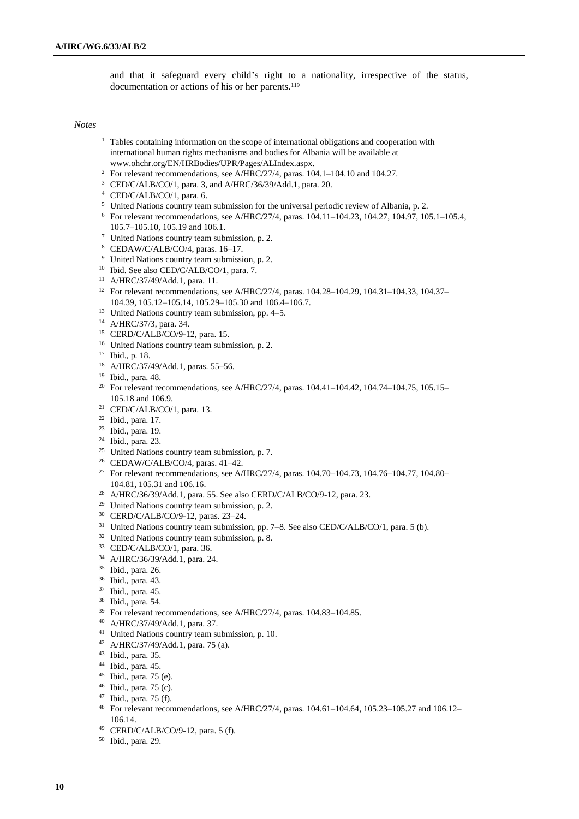and that it safeguard every child's right to a nationality, irrespective of the status, documentation or actions of his or her parents.<sup>119</sup>

### *Notes*

- <sup>1</sup> Tables containing information on the scope of international obligations and cooperation with international human rights mechanisms and bodies for Albania will be available at [www.ohchr.org/EN/HRBodies/UPR/Pages/ALIndex.aspx.](file:///C:/Users/helen/Downloads/www.ohchr.org/EN/HRBodies/UPR/Pages/ALIndex.aspx)
- <sup>2</sup> For relevant recommendations, see A/HRC/27/4, paras. 104.1-104.10 and 104.27.
- CED/C/ALB/CO/1, para. 3, and A/HRC/36/39/Add.1, para. 20.
- CED/C/ALB/CO/1, para. 6.
- <sup>5</sup> United Nations country team submission for the universal periodic review of Albania, p. 2.
- For relevant recommendations, see A/HRC/27/4, paras. 104.11–104.23, 104.27, 104.97, 105.1–105.4, 105.7–105.10, 105.19 and 106.1.
- United Nations country team submission, p. 2.
- CEDAW/C/ALB/CO/4, paras. 16–17.
- United Nations country team submission, p. 2.
- Ibid. See also CED/C/ALB/CO/1, para. 7.
- A/HRC/37/49/Add.1, para. 11.
- For relevant recommendations, see A/HRC/27/4, paras. 104.28–104.29, 104.31–104.33, 104.37– 104.39, 105.12–105.14, 105.29–105.30 and 106.4–106.7.
- <sup>13</sup> United Nations country team submission, pp. 4–5.
- A/HRC/37/3, para. 34.
- CERD/C/ALB/CO/9-12, para. 15.
- United Nations country team submission, p. 2.
- Ibid., p. 18.
- A/HRC/37/49/Add.1, paras. 55–56.
- Ibid., para. 48.
- <sup>20</sup> For relevant recommendations, see A/HRC/27/4, paras. 104.41-104.42, 104.74-104.75, 105.15-105.18 and 106.9.
- CED/C/ALB/CO/1, para. 13.
- Ibid., para. 17.
- Ibid., para. 19.
- Ibid., para. 23.
- <sup>25</sup> United Nations country team submission, p. 7.
- CEDAW/C/ALB/CO/4, paras. 41–42.
- <sup>27</sup> For relevant recommendations, see A/HRC/27/4, paras. 104.70-104.73, 104.76-104.77, 104.80-104.81, 105.31 and 106.16.
- A/HRC/36/39/Add.1, para. 55. See also CERD/C/ALB/CO/9-12, para. 23.
- United Nations country team submission, p. 2.
- CERD/C/ALB/CO/9-12, paras. 23–24.
- <sup>31</sup> United Nations country team submission, pp. 7–8. See also CED/C/ALB/CO/1, para. 5 (b).
- <sup>32</sup> United Nations country team submission, p. 8.
- CED/C/ALB/CO/1, para. 36.
- A/HRC/36/39/Add.1, para. 24.
- Ibid., para. 26.
- Ibid., para. 43.
- Ibid., para. 45.
- Ibid., para. 54.
- For relevant recommendations, see A/HRC/27/4, paras. 104.83–104.85.
- A/HRC/37/49/Add.1, para. 37.
- United Nations country team submission, p. 10.
- A/HRC/37/49/Add.1, para. 75 (a).
- Ibid., para. 35.
- Ibid., para. 45.
- Ibid., para. 75 (e).
- Ibid., para. 75 (c).
- Ibid., para. 75 (f).
- For relevant recommendations, see A/HRC/27/4, paras. 104.61–104.64, 105.23–105.27 and 106.12– 106.14.
- CERD/C/ALB/CO/9-12, para. 5 (f).
- Ibid., para. 29.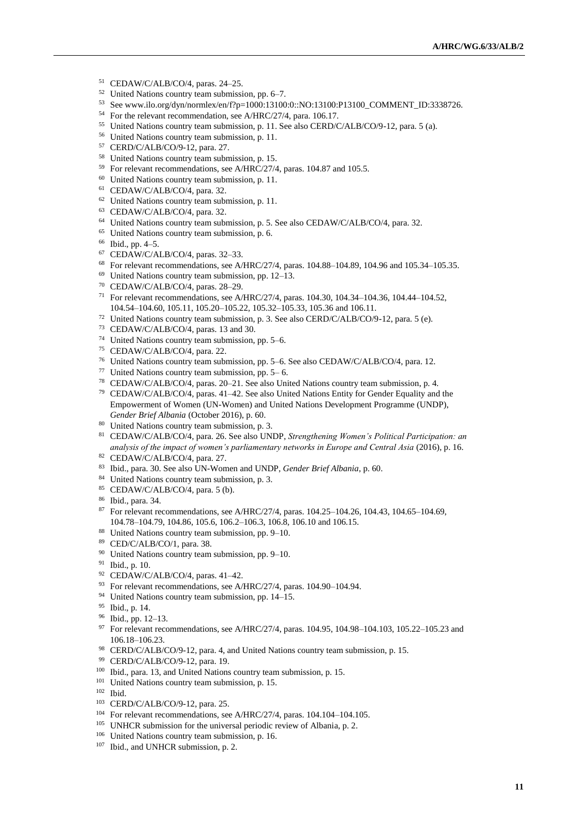- CEDAW/C/ALB/CO/4, paras. 24–25.
- United Nations country team submission, pp. 6–7.
- See www.ilo.org/dyn/normlex/en/f?p=1000:13100:0::NO:13100:P13100\_COMMENT\_ID:3338726.
- For the relevant recommendation, see A/HRC/27/4, para. 106.17.
- United Nations country team submission, p. 11. See also CERD/C/ALB/CO/9-12, para. 5 (a).
- United Nations country team submission, p. 11.
- CERD/C/ALB/CO/9-12, para. 27.
- United Nations country team submission, p. 15.
- For relevant recommendations, see A/HRC/27/4, paras. 104.87 and 105.5.
- United Nations country team submission, p. 11.
- CEDAW/C/ALB/CO/4, para. 32.
- United Nations country team submission, p. 11.
- CEDAW/C/ALB/CO/4, para. 32.
- <sup>64</sup> United Nations country team submission, p. 5. See also CEDAW/C/ALB/CO/4, para. 32.
- United Nations country team submission, p. 6.
- Ibid., pp. 4–5.
- CEDAW/C/ALB/CO/4, paras. 32–33.
- For relevant recommendations, see A/HRC/27/4, paras. 104.88–104.89, 104.96 and 105.34–105.35.
- United Nations country team submission, pp. 12–13.
- CEDAW/C/ALB/CO/4, paras. 28–29.
- For relevant recommendations, see A/HRC/27/4, paras. 104.30, 104.34–104.36, 104.44–104.52, 104.54–104.60, 105.11, 105.20–105.22, 105.32–105.33, 105.36 and 106.11.
- United Nations country team submission, p. 3. See also CERD/C/ALB/CO/9-12, para. 5 (e).
- CEDAW/C/ALB/CO/4, paras. 13 and 30.
- United Nations country team submission, pp. 5–6.
- CEDAW/C/ALB/CO/4, para. 22.
- United Nations country team submission, pp. 5–6. See also CEDAW/C/ALB/CO/4, para. 12.
- <sup>77</sup> United Nations country team submission, pp.  $5-6$ .
- CEDAW/C/ALB/CO/4, paras. 20–21. See also United Nations country team submission, p. 4.
- CEDAW/C/ALB/CO/4, paras. 41–42. See also United Nations Entity for Gender Equality and the Empowerment of Women (UN-Women) and United Nations Development Programme (UNDP), *Gender Brief Albania* (October 2016), p. 60.
- United Nations country team submission, p. 3.
- CEDAW/C/ALB/CO/4, para. 26. See also UNDP, *Strengthening Women's Political Participation: an analysis of the impact of women's parliamentary networks in Europe and Central Asia* (2016), p. 16.
- CEDAW/C/ALB/CO/4, para. 27.
- Ibid., para. 30. See also UN-Women and UNDP, *Gender Brief Albania*, p. 60.
- 84 United Nations country team submission, p. 3.
- CEDAW/C/ALB/CO/4, para. 5 (b).
- Ibid., para. 34.
- 87 For relevant recommendations, see A/HRC/27/4, paras. 104.25-104.26, 104.43, 104.65-104.69, 104.78–104.79, 104.86, 105.6, 106.2–106.3, 106.8, 106.10 and 106.15.
- United Nations country team submission, pp. 9–10.
- CED/C/ALB/CO/1, para. 38.
- United Nations country team submission, pp. 9–10.
- Ibid., p. 10.
- CEDAW/C/ALB/CO/4, paras. 41–42.
- <sup>93</sup> For relevant recommendations, see A/HRC/27/4, paras. 104.90-104.94.
- United Nations country team submission, pp. 14–15.
- Ibid., p. 14.
- Ibid., pp. 12–13.
- 97 For relevant recommendations, see A/HRC/27/4, paras. 104.95, 104.98-104.103, 105.22-105.23 and 106.18–106.23.
- CERD/C/ALB/CO/9-12, para. 4, and United Nations country team submission, p. 15.
- CERD/C/ALB/CO/9-12, para. 19.
- Ibid., para. 13, and United Nations country team submission, p. 15.
- <sup>101</sup> United Nations country team submission, p. 15.
- Ibid.
- CERD/C/ALB/CO/9-12, para. 25.
- For relevant recommendations, see A/HRC/27/4, paras. 104.104–104.105.
- <sup>105</sup> UNHCR submission for the universal periodic review of Albania, p. 2.
- United Nations country team submission, p. 16.
- 107 Ibid., and UNHCR submission, p. 2.